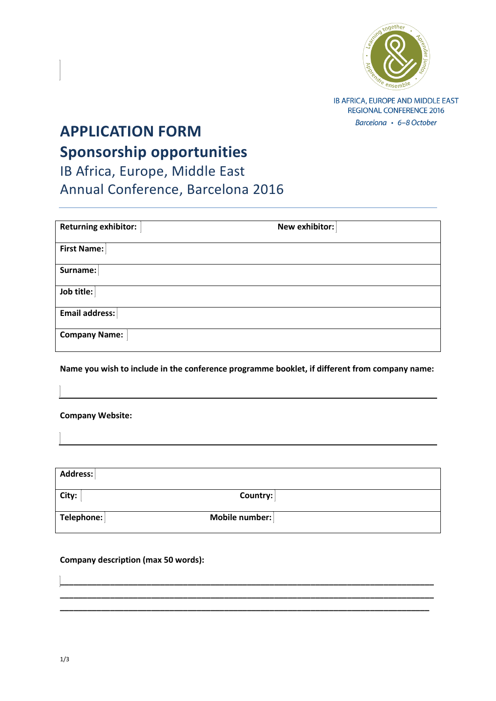

IB AFRICA, EUROPE AND MIDDLE EAST **REGIONAL CONFERENCE 2016** Barcelona · 6-8 October

## **APPLICATION FORM Sponsorship opportunities**

IB Africa, Europe, Middle East Annual Conference, Barcelona 2016

| <b>Returning exhibitor:</b> | New exhibitor: |  |  |  |
|-----------------------------|----------------|--|--|--|
| <b>First Name:</b>          |                |  |  |  |
| Surname:                    |                |  |  |  |
| Job title:                  |                |  |  |  |
| <b>Email address:</b>       |                |  |  |  |
| <b>Company Name:</b>        |                |  |  |  |

**Name you wish to include in the conference programme booklet, if different from company name:**

**Company Website:** 

| Address:   |                |
|------------|----------------|
| City:      | Country:       |
| Telephone: | Mobile number: |

**\_\_\_\_\_\_\_\_\_\_\_\_\_\_\_\_\_\_\_\_\_\_\_\_\_\_\_\_\_\_\_\_\_\_\_\_\_\_\_\_\_\_\_\_\_\_\_\_\_\_\_\_\_\_\_\_\_\_\_\_\_\_\_\_\_\_\_\_\_\_\_\_\_\_\_\_\_\_\_\_\_\_ \_\_\_\_\_\_\_\_\_\_\_\_\_\_\_\_\_\_\_\_\_\_\_\_\_\_\_\_\_\_\_\_\_\_\_\_\_\_\_\_\_\_\_\_\_\_\_\_\_\_\_\_\_\_\_\_\_\_\_\_\_\_\_\_\_\_\_\_\_\_\_\_\_\_\_\_\_\_\_\_\_\_ \_\_\_\_\_\_\_\_\_\_\_\_\_\_\_\_\_\_\_\_\_\_\_\_\_\_\_\_\_\_\_\_\_\_\_\_\_\_\_\_\_\_\_\_\_\_\_\_\_\_\_\_\_\_\_\_\_\_\_\_\_\_\_\_\_\_\_\_\_\_\_\_\_\_\_\_\_\_\_\_\_**

## **Company description (max 50 words):**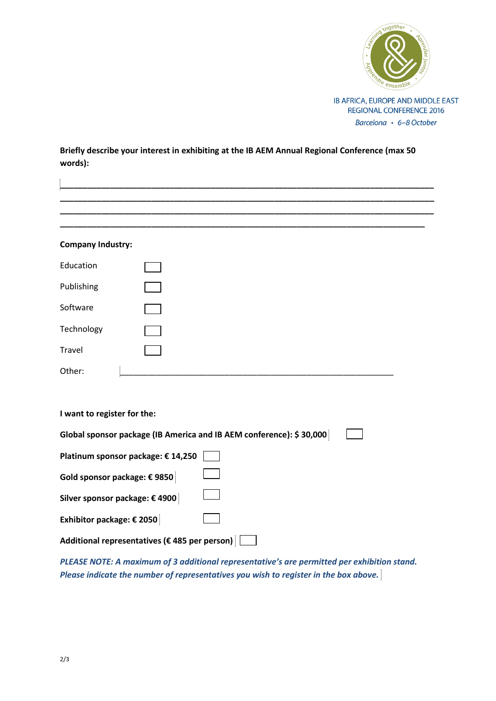

**Briefly describe your interest in exhibiting at the IB AEM Annual Regional Conference (max 50 words):**

| <b>Company Industry:</b>                                            |  |
|---------------------------------------------------------------------|--|
| Education                                                           |  |
| Publishing                                                          |  |
| Software                                                            |  |
| Technology                                                          |  |
| Travel                                                              |  |
| Other:                                                              |  |
|                                                                     |  |
| I want to register for the:                                         |  |
| Global sponsor package (IB America and IB AEM conference): \$30,000 |  |
| Platinum sponsor package: € 14,250                                  |  |
| Gold sponsor package: € 9850                                        |  |
| Silver sponsor package: € 4900                                      |  |
| Exhibitor package: € 2050                                           |  |
| Additional representatives (€ 485 per person)                       |  |

*PLEASE NOTE: A maximum of 3 additional representative's are permitted per exhibition stand. Please indicate the number of representatives you wish to register in the box above.*